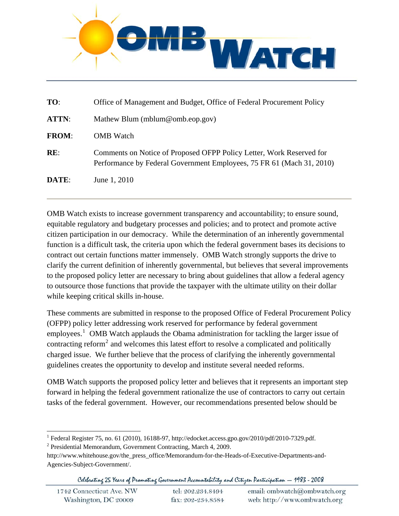

| TO:          | Office of Management and Budget, Office of Federal Procurement Policy                                                                         |
|--------------|-----------------------------------------------------------------------------------------------------------------------------------------------|
| ATTN:        | Mathew Blum (mblum@omb.eop.gov)                                                                                                               |
| <b>FROM:</b> | <b>OMB</b> Watch                                                                                                                              |
| RE:          | Comments on Notice of Proposed OFPP Policy Letter, Work Reserved for<br>Performance by Federal Government Employees, 75 FR 61 (Mach 31, 2010) |
| DATE:        | June 1, 2010                                                                                                                                  |

OMB Watch exists to increase government transparency and accountability; to ensure sound, equitable regulatory and budgetary processes and policies; and to protect and promote active citizen participation in our democracy. While the determination of an inherently governmental function is a difficult task, the criteria upon which the federal government bases its decisions to contract out certain functions matter immensely. OMB Watch strongly supports the drive to clarify the current definition of inherently governmental, but believes that several improvements to the proposed policy letter are necessary to bring about guidelines that allow a federal agency to outsource those functions that provide the taxpayer with the ultimate utility on their dollar while keeping critical skills in-house.

These comments are submitted in response to the proposed Office of Federal Procurement Policy (OFPP) policy letter addressing work reserved for performance by federal government employees.<sup>[1](#page-0-0)</sup> OMB Watch applauds the Obama administration for tackling the larger issue of contracting reform<sup>[2](#page-0-1)</sup> and welcomes this latest effort to resolve a complicated and politically charged issue. We further believe that the process of clarifying the inherently governmental guidelines creates the opportunity to develop and institute several needed reforms.

OMB Watch supports the proposed policy letter and believes that it represents an important step forward in helping the federal government rationalize the use of contractors to carry out certain tasks of the federal government. However, our recommendations presented below should be

l

Celebrating 25 Years of Promoting Government Accountability and Citizen Participation - 1983 - 2008

<sup>&</sup>lt;sup>1</sup> Federal Register 75, no. 61 (2010), 16188-97, http://edocket.access.gpo.gov/2010/pdf/2010-7329.pdf.<br><sup>2</sup> Presidential Mamerandum Government Contracting Marsh 4, 2000.

<span id="page-0-1"></span><span id="page-0-0"></span><sup>&</sup>lt;sup>2</sup> Presidential Memorandum, Government Contracting, March 4, 2009.

http://www.whitehouse.gov/the\_press\_office/Memorandum-for-the-Heads-of-Executive-Departments-and-Agencies-Subject-Government/.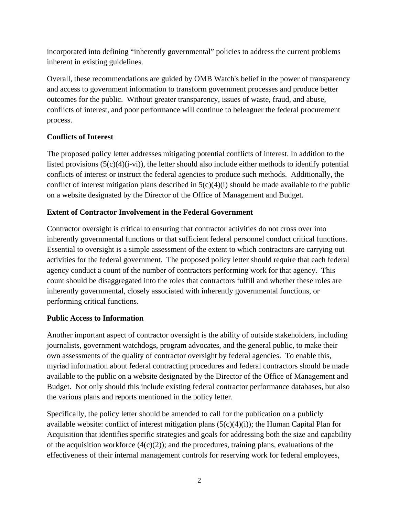incorporated into defining "inherently governmental" policies to address the current problems inherent in existing guidelines.

Overall, these recommendations are guided by OMB Watch's belief in the power of transparency and access to government information to transform government processes and produce better outcomes for the public. Without greater transparency, issues of waste, fraud, and abuse, conflicts of interest, and poor performance will continue to beleaguer the federal procurement process.

# **Conflicts of Interest**

The proposed policy letter addresses mitigating potential conflicts of interest. In addition to the listed provisions  $(5(c)(4)(i-vi))$ , the letter should also include either methods to identify potential conflicts of interest or instruct the federal agencies to produce such methods. Additionally, the conflict of interest mitigation plans described in  $5(c)(4)(i)$  should be made available to the public on a website designated by the Director of the Office of Management and Budget.

## **Extent of Contractor Involvement in the Federal Government**

Contractor oversight is critical to ensuring that contractor activities do not cross over into inherently governmental functions or that sufficient federal personnel conduct critical functions. Essential to oversight is a simple assessment of the extent to which contractors are carrying out activities for the federal government. The proposed policy letter should require that each federal agency conduct a count of the number of contractors performing work for that agency. This count should be disaggregated into the roles that contractors fulfill and whether these roles are inherently governmental, closely associated with inherently governmental functions, or performing critical functions.

#### **Public Access to Information**

Another important aspect of contractor oversight is the ability of outside stakeholders, including journalists, government watchdogs, program advocates, and the general public, to make their own assessments of the quality of contractor oversight by federal agencies. To enable this, myriad information about federal contracting procedures and federal contractors should be made available to the public on a website designated by the Director of the Office of Management and Budget. Not only should this include existing federal contractor performance databases, but also the various plans and reports mentioned in the policy letter.

Specifically, the policy letter should be amended to call for the publication on a publicly available website: conflict of interest mitigation plans  $(5(c)(4)(i))$ ; the Human Capital Plan for Acquisition that identifies specific strategies and goals for addressing both the size and capability of the acquisition workforce  $(4(c)(2))$ ; and the procedures, training plans, evaluations of the effectiveness of their internal management controls for reserving work for federal employees,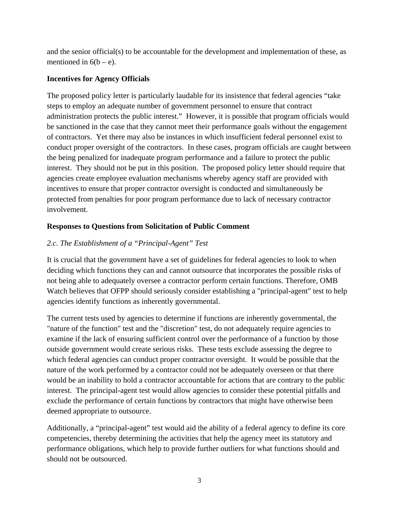and the senior official(s) to be accountable for the development and implementation of these, as mentioned in  $6(b - e)$ .

### **Incentives for Agency Officials**

The proposed policy letter is particularly laudable for its insistence that federal agencies "take steps to employ an adequate number of government personnel to ensure that contract administration protects the public interest." However, it is possible that program officials would be sanctioned in the case that they cannot meet their performance goals without the engagement of contractors. Yet there may also be instances in which insufficient federal personnel exist to conduct proper oversight of the contractors. In these cases, program officials are caught between the being penalized for inadequate program performance and a failure to protect the public interest. They should not be put in this position. The proposed policy letter should require that agencies create employee evaluation mechanisms whereby agency staff are provided with incentives to ensure that proper contractor oversight is conducted and simultaneously be protected from penalties for poor program performance due to lack of necessary contractor involvement.

## **Responses to Questions from Solicitation of Public Comment**

# *2.c. The Establishment of a "Principal-Agent" Test*

It is crucial that the government have a set of guidelines for federal agencies to look to when deciding which functions they can and cannot outsource that incorporates the possible risks of not being able to adequately oversee a contractor perform certain functions. Therefore, OMB Watch believes that OFPP should seriously consider establishing a "principal-agent" test to help agencies identify functions as inherently governmental.

The current tests used by agencies to determine if functions are inherently governmental, the "nature of the function" test and the "discretion" test, do not adequately require agencies to examine if the lack of ensuring sufficient control over the performance of a function by those outside government would create serious risks. These tests exclude assessing the degree to which federal agencies can conduct proper contractor oversight. It would be possible that the nature of the work performed by a contractor could not be adequately overseen or that there would be an inability to hold a contractor accountable for actions that are contrary to the public interest. The principal-agent test would allow agencies to consider these potential pitfalls and exclude the performance of certain functions by contractors that might have otherwise been deemed appropriate to outsource.

Additionally, a "principal-agent" test would aid the ability of a federal agency to define its core competencies, thereby determining the activities that help the agency meet its statutory and performance obligations, which help to provide further outliers for what functions should and should not be outsourced.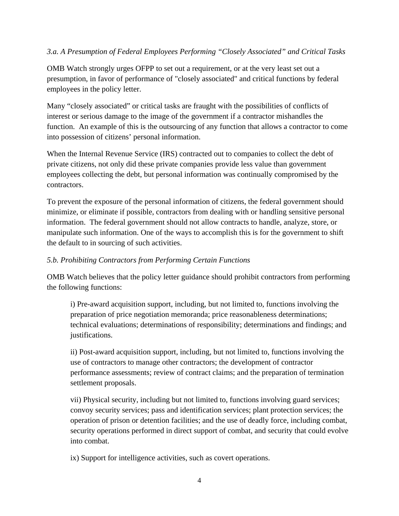### *3.a. A Presumption of Federal Employees Performing "Closely Associated" and Critical Tasks*

OMB Watch strongly urges OFPP to set out a requirement, or at the very least set out a presumption, in favor of performance of "closely associated" and critical functions by federal employees in the policy letter.

Many "closely associated" or critical tasks are fraught with the possibilities of conflicts of interest or serious damage to the image of the government if a contractor mishandles the function. An example of this is the outsourcing of any function that allows a contractor to come into possession of citizens' personal information.

When the Internal Revenue Service (IRS) contracted out to companies to collect the debt of private citizens, not only did these private companies provide less value than government employees collecting the debt, but personal information was continually compromised by the contractors.

To prevent the exposure of the personal information of citizens, the federal government should minimize, or eliminate if possible, contractors from dealing with or handling sensitive personal information. The federal government should not allow contracts to handle, analyze, store, or manipulate such information. One of the ways to accomplish this is for the government to shift the default to in sourcing of such activities.

#### *5.b. Prohibiting Contractors from Performing Certain Functions*

OMB Watch believes that the policy letter guidance should prohibit contractors from performing the following functions:

i) Pre-award acquisition support, including, but not limited to, functions involving the preparation of price negotiation memoranda; price reasonableness determinations; technical evaluations; determinations of responsibility; determinations and findings; and justifications.

ii) Post-award acquisition support, including, but not limited to, functions involving the use of contractors to manage other contractors; the development of contractor performance assessments; review of contract claims; and the preparation of termination settlement proposals.

vii) Physical security, including but not limited to, functions involving guard services; convoy security services; pass and identification services; plant protection services; the operation of prison or detention facilities; and the use of deadly force, including combat, security operations performed in direct support of combat, and security that could evolve into combat.

ix) Support for intelligence activities, such as covert operations.